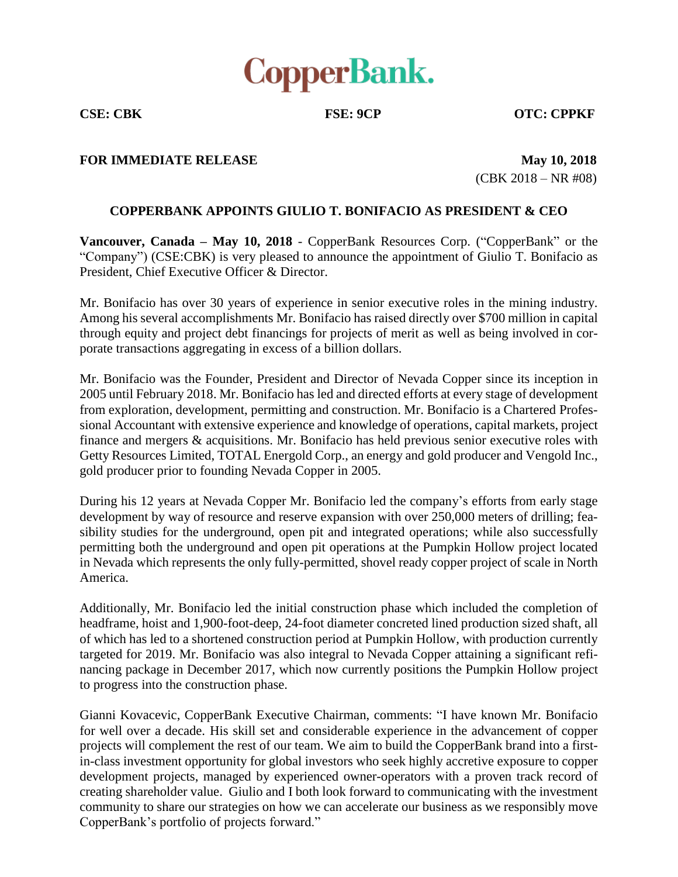

**CSE: CBK FSE: 9CP OTC: CPPKF**

## **FOR IMMEDIATE RELEASE May 10, 2018**

(CBK 2018 – NR #08)

## **COPPERBANK APPOINTS GIULIO T. BONIFACIO AS PRESIDENT & CEO**

**Vancouver, Canada – May 10, 2018** - CopperBank Resources Corp. ("CopperBank" or the "Company") (CSE:CBK) is very pleased to announce the appointment of Giulio T. Bonifacio as President, Chief Executive Officer & Director.

Mr. Bonifacio has over 30 years of experience in senior executive roles in the mining industry. Among his several accomplishments Mr. Bonifacio has raised directly over \$700 million in capital through equity and project debt financings for projects of merit as well as being involved in corporate transactions aggregating in excess of a billion dollars.

Mr. Bonifacio was the Founder, President and Director of Nevada Copper since its inception in 2005 until February 2018. Mr. Bonifacio has led and directed efforts at every stage of development from exploration, development, permitting and construction. Mr. Bonifacio is a Chartered Professional Accountant with extensive experience and knowledge of operations, capital markets, project finance and mergers & acquisitions. Mr. Bonifacio has held previous senior executive roles with Getty Resources Limited, TOTAL Energold Corp., an energy and gold producer and Vengold Inc., gold producer prior to founding Nevada Copper in 2005.

During his 12 years at Nevada Copper Mr. Bonifacio led the company's efforts from early stage development by way of resource and reserve expansion with over 250,000 meters of drilling; feasibility studies for the underground, open pit and integrated operations; while also successfully permitting both the underground and open pit operations at the Pumpkin Hollow project located in Nevada which represents the only fully-permitted, shovel ready copper project of scale in North America.

Additionally, Mr. Bonifacio led the initial construction phase which included the completion of headframe, hoist and 1,900-foot-deep, 24-foot diameter concreted lined production sized shaft, all of which has led to a shortened construction period at Pumpkin Hollow, with production currently targeted for 2019. Mr. Bonifacio was also integral to Nevada Copper attaining a significant refinancing package in December 2017, which now currently positions the Pumpkin Hollow project to progress into the construction phase.

Gianni Kovacevic, CopperBank Executive Chairman, comments: "I have known Mr. Bonifacio for well over a decade. His skill set and considerable experience in the advancement of copper projects will complement the rest of our team. We aim to build the CopperBank brand into a firstin-class investment opportunity for global investors who seek highly accretive exposure to copper development projects, managed by experienced owner-operators with a proven track record of creating shareholder value. Giulio and I both look forward to communicating with the investment community to share our strategies on how we can accelerate our business as we responsibly move CopperBank's portfolio of projects forward."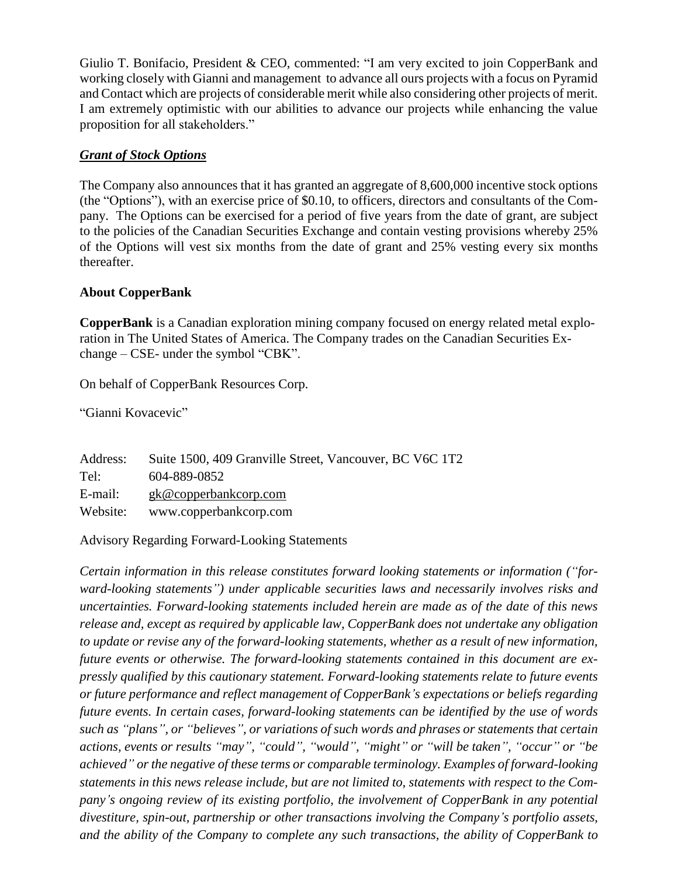Giulio T. Bonifacio, President & CEO, commented: "I am very excited to join CopperBank and working closely with Gianni and management to advance all ours projects with a focus on Pyramid and Contact which are projects of considerable merit while also considering other projects of merit. I am extremely optimistic with our abilities to advance our projects while enhancing the value proposition for all stakeholders."

## *Grant of Stock Options*

The Company also announces that it has granted an aggregate of 8,600,000 incentive stock options (the "Options"), with an exercise price of \$0.10, to officers, directors and consultants of the Company. The Options can be exercised for a period of five years from the date of grant, are subject to the policies of the Canadian Securities Exchange and contain vesting provisions whereby 25% of the Options will vest six months from the date of grant and 25% vesting every six months thereafter.

## **About CopperBank**

**CopperBank** is a Canadian exploration mining company focused on energy related metal exploration in The United States of America. The Company trades on the Canadian Securities Exchange – CSE- under the symbol "CBK".

On behalf of CopperBank Resources Corp.

"Gianni Kovacevic"

| Address: | Suite 1500, 409 Granville Street, Vancouver, BC V6C 1T2 |
|----------|---------------------------------------------------------|
| Tel:     | 604-889-0852                                            |
| E-mail:  | $g k@$ copperbankcorp.com                               |
| Website: | www.copperbankcorp.com                                  |

Advisory Regarding Forward-Looking Statements

*Certain information in this release constitutes forward looking statements or information ("forward-looking statements") under applicable securities laws and necessarily involves risks and uncertainties. Forward-looking statements included herein are made as of the date of this news release and, except as required by applicable law, CopperBank does not undertake any obligation to update or revise any of the forward-looking statements, whether as a result of new information, future events or otherwise. The forward-looking statements contained in this document are expressly qualified by this cautionary statement. Forward-looking statements relate to future events or future performance and reflect management of CopperBank's expectations or beliefs regarding future events. In certain cases, forward-looking statements can be identified by the use of words such as "plans", or "believes", or variations of such words and phrases or statements that certain actions, events or results "may", "could", "would", "might" or "will be taken", "occur" or "be achieved" or the negative of these terms or comparable terminology. Examples of forward-looking statements in this news release include, but are not limited to, statements with respect to the Company's ongoing review of its existing portfolio, the involvement of CopperBank in any potential divestiture, spin-out, partnership or other transactions involving the Company's portfolio assets, and the ability of the Company to complete any such transactions, the ability of CopperBank to*